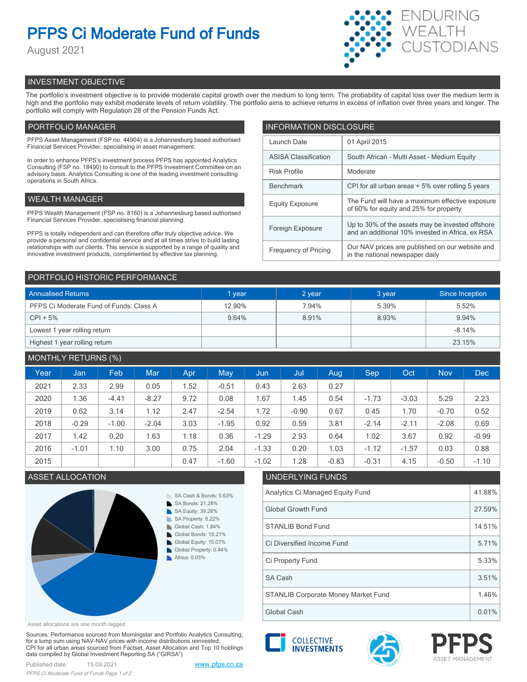# **PFPS Ci Moderate Fund of Funds**

August 2021



# INVESTMENT OBJECTIVE

The portfolio's investment objective is to provide moderate capital growth over the medium to long term. The probability of capital loss over the medium term is high and the portfolio may exhibit moderate levels of return volatility. The portfolio aims to achieve returns in excess of inflation over three years and longer. The portfolio will comply with Regulation 28 of the Pension Funds Act.

# PORTFOLIO MANAGER

PFPS Asset Management (FSP no. 44904) is a Johannesburg based authorised Financial Services Provider, specialising in asset management.

In order to enhance PFPS's investment process PFPS has appointed Analytics Consulting (FSP no. 18490) to consult to the PFPS Investment Committee on an advisory basis. Analytics Consulting is one of the leading investment consulting operations in South Africa.

## WEALTH MANAGER

PFPS Wealth Management (FSP no. 8160) is a Johannesburg based authorised Financial Services Provider, specialising financial planning.

PFPS is totally independent and can therefore offer truly objective advice. We provide a personal and confidential service and at all times strive to build lasting relationships with our clients. This service is supported by a range of quality and innovative investment products, complimented by effective tax planning.

| <b>INFORMATION DISCLOSURE</b> |                                                                                                      |  |  |  |  |
|-------------------------------|------------------------------------------------------------------------------------------------------|--|--|--|--|
| Launch Date                   | 01 April 2015                                                                                        |  |  |  |  |
| <b>ASISA Classification</b>   | South African - Multi Asset - Medium Equity                                                          |  |  |  |  |
| <b>Risk Profile</b>           | Moderate                                                                                             |  |  |  |  |
| <b>Benchmark</b>              | CPI for all urban areas + 5% over rolling 5 years                                                    |  |  |  |  |
| <b>Equity Exposure</b>        | The Fund will have a maximum effective exposure<br>of 60% for equity and 25% for property            |  |  |  |  |
| Foreign Exposure              | Up to 30% of the assets may be invested offshore<br>and an additional 10% invested in Africa, ex RSA |  |  |  |  |
| <b>Frequency of Pricing</b>   | Our NAV prices are published on our website and<br>in the national newspaper daily                   |  |  |  |  |

### PORTFOLIO HISTORIC PERFORMANCE

| <b>Annualised Returns</b>               | 1 year | 2 year | 3 year | Since Inception |
|-----------------------------------------|--------|--------|--------|-----------------|
| PFPS Ci Moderate Fund of Funds: Class A | 12.90% | 7.94%  | 5.39%  | 5.52%           |
| $CPI + 5%$                              | 9.64%  | 8.91%  | 8.93%  | 9.94%           |
| Lowest 1 year rolling return            |        |        |        | $-8.14%$        |
| Highest 1 year rolling return           |        |        |        | 23.15%          |

# MONTHLY RETURNS (%)

|      |         | $\sim$ $\sim$ $\sim$ $\sim$ |            |      |         |         |         |         |         |         |            |            |
|------|---------|-----------------------------|------------|------|---------|---------|---------|---------|---------|---------|------------|------------|
| Year | Jan     | Feb.                        | <b>Mar</b> | Apr  | May     | Jun     | Jul     | Aug     | Sep     | Oct     | <b>Nov</b> | <b>Dec</b> |
| 2021 | 2.33    | 2.99                        | 0.05       | 1.52 | $-0.51$ | 0.43    | 2.63    | 0.27    |         |         |            |            |
| 2020 | 1.36    | $-4.41$                     | $-8.27$    | 9.72 | 0.08    | 1.67    | 1.45    | 0.54    | $-1.73$ | $-3.03$ | 5.29       | 2.23       |
| 2019 | 0.62    | 3.14                        | 1.12       | 2.47 | $-2.54$ | 1.72    | $-0.90$ | 0.67    | 0.45    | 1.70    | $-0.70$    | 0.52       |
| 2018 | $-0.29$ | $-1.00$                     | $-2.04$    | 3.03 | $-1.95$ | 0.92    | 0.59    | 3.81    | $-2.14$ | $-2.11$ | $-2.08$    | 0.69       |
| 2017 | 1.42    | 0.20                        | 1.63       | 1.18 | 0.36    | $-1.29$ | 2.93    | 0.64    | 1.02    | 3.67    | 0.92       | $-0.99$    |
| 2016 | $-1.01$ | 1.10                        | 3.00       | 0.75 | 2.04    | $-1.33$ | 0.20    | 1.03    | $-1.12$ | $-1.57$ | 0.03       | 0.88       |
| 2015 |         |                             |            | 0.47 | $-1.60$ | $-1.02$ | 1.28    | $-0.83$ | $-0.31$ | 4.15    | $-0.50$    | $-1.10$    |



# ASSET ALLOCATION UNDERLYING FUNDS Analytics Ci Managed Equity Fund 41.88% Global Growth Fund 27.59% STANLIB Bond Fund 2008 14.51% Ci Property Fund 5.33% Ci Diversified Income Fund 5.71% STANLIB Corporate Money Market Fund 1.46% SA Cash 3.51%

Asset allocations are one month lagged

Sources: Performance sourced from Morningstar and Portfolio Analytics Consulting, for a lump sum using NAV-NAV prices with income distributions reinvested. CPI for all urban areas sourced from Factset. Asset Allocation and Top 10 holdings data compiled by Global Investment Reporting SA ("GIRSA")



**COLLECTIVE** 

Global Cash 0.01%